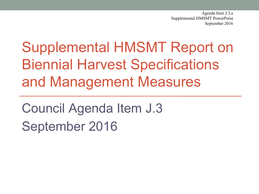Agenda Item J.3.a Supplemental HMSMT PowerPoint September 2016

# Supplemental HMSMT Report on Biennial Harvest Specifications and Management Measures

Council Agenda Item J.3 September 2016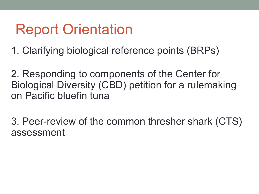## Report Orientation

1. Clarifying biological reference points (BRPs)

2. Responding to components of the Center for Biological Diversity (CBD) petition for a rulemaking on Pacific bluefin tuna

3. Peer-review of the common thresher shark (CTS) assessment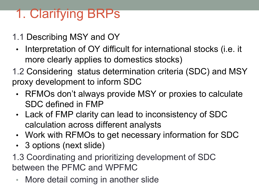#### 1. Clarifying BRPs

- 1.1 Describing MSY and OY
	- Interpretation of OY difficult for international stocks (i.e. it more clearly applies to domestics stocks)
- 1.2 Considering status determination criteria (SDC) and MSY proxy development to inform SDC
	- RFMOs don't always provide MSY or proxies to calculate SDC defined in FMP
	- Lack of FMP clarity can lead to inconsistency of SDC calculation across different analysts
	- Work with RFMOs to get necessary information for SDC
	- 3 options (next slide)
- 1.3 Coordinating and prioritizing development of SDC between the PFMC and WPFMC
	- More detail coming in another slide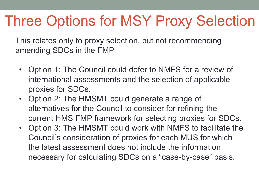### Three Options for MSY Proxy Selection

This relates only to proxy selection, but not recommending amending SDCs in the FMP

- Option 1: The Council could defer to NMFS for a review of international assessments and the selection of applicable proxies for SDCs.
- Option 2: The HMSMT could generate a range of alternatives for the Council to consider for refining the current HMS FMP framework for selecting proxies for SDCs.
- Option 3: The HMSMT could work with NMFS to facilitate the Council's consideration of proxies for each MUS for which the latest assessment does not include the information necessary for calculating SDCs on a "case-by-case" basis.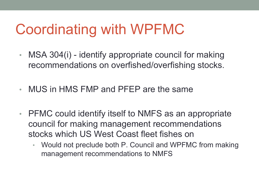## Coordinating with WPFMC

- MSA 304(i) identify appropriate council for making recommendations on overfished/overfishing stocks.
- MUS in HMS FMP and PFEP are the same
- PFMC could identify itself to NMFS as an appropriate council for making management recommendations stocks which US West Coast fleet fishes on
	- Would not preclude both P. Council and WPFMC from making management recommendations to NMFS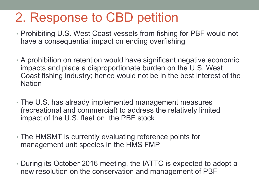#### 2. Response to CBD petition

- Prohibiting U.S. West Coast vessels from fishing for PBF would not have a consequential impact on ending overfishing
- A prohibition on retention would have significant negative economic impacts and place a disproportionate burden on the U.S. West Coast fishing industry; hence would not be in the best interest of the **Nation**
- The U.S. has already implemented management measures (recreational and commercial) to address the relatively limited impact of the U.S. fleet on the PBF stock
- The HMSMT is currently evaluating reference points for management unit species in the HMS FMP
- During its October 2016 meeting, the IATTC is expected to adopt a new resolution on the conservation and management of PBF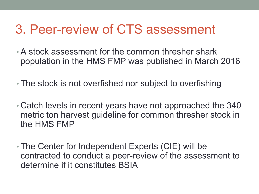#### 3. Peer-review of CTS assessment

- A stock assessment for the common thresher shark population in the HMS FMP was published in March 2016
- The stock is not overfished nor subject to overfishing
- Catch levels in recent years have not approached the 340 metric ton harvest guideline for common thresher stock in the HMS FMP
- The Center for Independent Experts (CIE) will be contracted to conduct a peer-review of the assessment to determine if it constitutes BSIA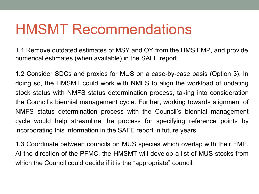### HMSMT Recommendations

1.1 Remove outdated estimates of MSY and OY from the HMS FMP, and provide numerical estimates (when available) in the SAFE report.

1.2 Consider SDCs and proxies for MUS on a case-by-case basis (Option 3). In doing so, the HMSMT could work with NMFS to align the workload of updating stock status with NMFS status determination process, taking into consideration the Council's biennial management cycle. Further, working towards alignment of NMFS status determination process with the Council's biennial management cycle would help streamline the process for specifying reference points by incorporating this information in the SAFE report in future years.

1.3 Coordinate between councils on MUS species which overlap with their FMP. At the direction of the PFMC, the HMSMT will develop a list of MUS stocks from which the Council could decide if it is the "appropriate" council.